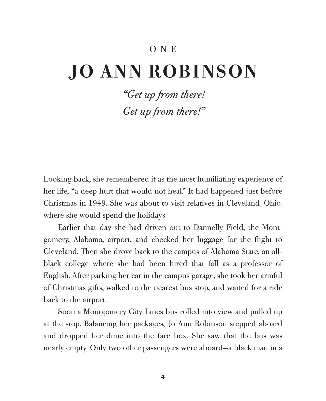## O N E

## **JO ANN ROBINSON**

*"Get up from there! Get up from there!"*

Looking back, she remembered it as the most humiliating experience of her life, "a deep hurt that would not heal." It had happened just before Christmas in 1949. She was about to visit relatives in Cleveland, Ohio, where she would spend the holidays.

Earlier that day she had driven out to Dannelly Field, the Montgomery, Alabama, airport, and checked her luggage for the flight to Cleveland. Then she drove back to the campus of Alabama State, an allblack college where she had been hired that fall as a professor of English. After parking her car in the campus garage, she took her armful of Christmas gifts, walked to the nearest bus stop, and waited for a ride back to the airport.

Soon a Montgomery City Lines bus rolled into view and pulled up at the stop. Balancing her packages, Jo Ann Robinson stepped aboard and dropped her dime into the fare box. She saw that the bus was nearly empty. Only two other passengers were aboard—a black man in a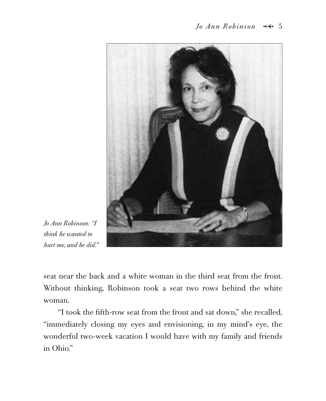

*Jo Ann Robinson: "I think he wanted to hurt me, and he did."*

seat near the back and a white woman in the third seat from the front. Without thinking, Robinson took a seat two rows behind the white woman.

"I took the fifth-row seat from the front and sat down," she recalled, "immediately closing my eyes and envisioning, in my mind's eye, the wonderful two-week vacation I would have with my family and friends in Ohio."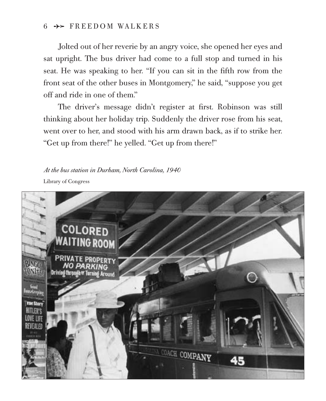## $6 \rightarrow$  FREEDOM WALKERS

Jolted out of her reverie by an angry voice, she opened her eyes and sat upright. The bus driver had come to a full stop and turned in his seat. He was speaking to her. "If you can sit in the fifth row from the front seat of the other buses in Montgomery," he said, "suppose you get off and ride in one of them."

The driver's message didn't register at first. Robinson was still thinking about her holiday trip. Suddenly the driver rose from his seat, went over to her, and stood with his arm drawn back, as if to strike her. "Get up from there!" he yelled. "Get up from there!"

*At the bus station in Durham, North Carolina, 1940* Library of Congress

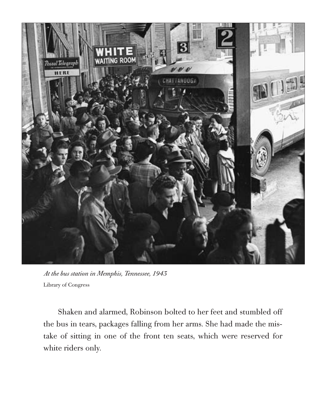

*At the bus station in Memphis, Tennessee, 1943* Library of Congress

Shaken and alarmed, Robinson bolted to her feet and stumbled off the bus in tears, packages falling from her arms. She had made the mistake of sitting in one of the front ten seats, which were reserved for white riders only.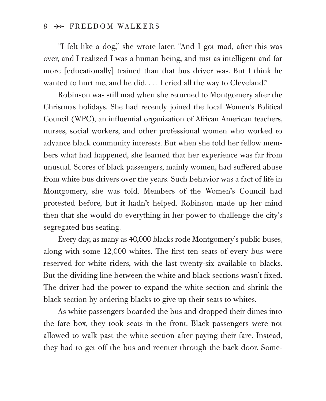"I felt like a dog," she wrote later. "And I got mad, after this was over, and I realized I was a human being, and just as intelligent and far more [educationally] trained than that bus driver was. But I think he wanted to hurt me, and he did. . . . I cried all the way to Cleveland."

Robinson was still mad when she returned to Montgomery after the Christmas holidays. She had recently joined the local Women's Political Council (WPC), an influential organization of African American teachers, nurses, social workers, and other professional women who worked to advance black community interests. But when she told her fellow members what had happened, she learned that her experience was far from unusual. Scores of black passengers, mainly women, had suffered abuse from white bus drivers over the years. Such behavior was a fact of life in Montgomery, she was told. Members of the Women's Council had protested before, but it hadn't helped. Robinson made up her mind then that she would do everything in her power to challenge the city's segregated bus seating.

Every day, as many as 40,000 blacks rode Montgomery's public buses, along with some 12,000 whites. The first ten seats of every bus were reserved for white riders, with the last twenty-six available to blacks. But the dividing line between the white and black sections wasn't fixed. The driver had the power to expand the white section and shrink the black section by ordering blacks to give up their seats to whites.

As white passengers boarded the bus and dropped their dimes into the fare box, they took seats in the front. Black passengers were not allowed to walk past the white section after paying their fare. Instead, they had to get off the bus and reenter through the back door. Some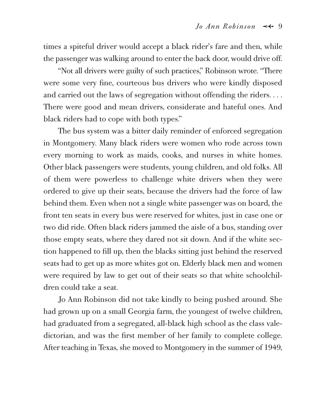times a spiteful driver would accept a black rider's fare and then, while the passenger was walking around to enter the back door, would drive off.

"Not all drivers were guilty of such practices," Robinson wrote. "There were some very fine, courteous bus drivers who were kindly disposed and carried out the laws of segregation without offending the riders. ... There were good and mean drivers, considerate and hateful ones. And black riders had to cope with both types."

The bus system was a bitter daily reminder of enforced segregation in Montgomery. Many black riders were women who rode across town every morning to work as maids, cooks, and nurses in white homes. Other black passengers were students, young children, and old folks. All of them were powerless to challenge white drivers when they were ordered to give up their seats, because the drivers had the force of law behind them. Even when not a single white passenger was on board, the front ten seats in every bus were reserved for whites, just in case one or two did ride. Often black riders jammed the aisle of a bus, standing over those empty seats, where they dared not sit down. And if the white section happened to fill up, then the blacks sitting just behind the reserved seats had to get up as more whites got on. Elderly black men and women were required by law to get out of their seats so that white schoolchildren could take a seat.

Jo Ann Robinson did not take kindly to being pushed around. She had grown up on a small Georgia farm, the youngest of twelve children, had graduated from a segregated, all-black high school as the class valedictorian, and was the first member of her family to complete college. After teaching in Texas, she moved to Montgomery in the summer of 1949,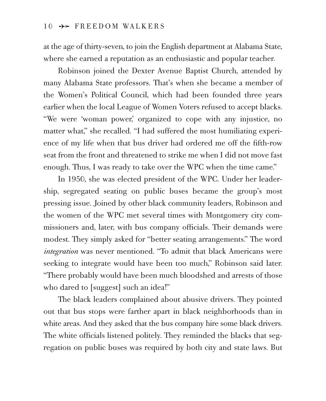at the age of thirty-seven, to join the English department at Alabama State, where she earned a reputation as an enthusiastic and popular teacher.

Robinson joined the Dexter Avenue Baptist Church, attended by many Alabama State professors. That's when she became a member of the Women's Political Council, which had been founded three years earlier when the local League of Women Voters refused to accept blacks. "We were 'woman power,' organized to cope with any injustice, no matter what," she recalled. "I had suffered the most humiliating experience of my life when that bus driver had ordered me off the fifth-row seat from the front and threatened to strike me when I did not move fast enough. Thus, I was ready to take over the WPC when the time came."

In 1950, she was elected president of the WPC. Under her leadership, segregated seating on public buses became the group's most pressing issue. Joined by other black community leaders, Robinson and the women of the WPC met several times with Montgomery city commissioners and, later, with bus company officials. Their demands were modest. They simply asked for "better seating arrangements." The word *integration* was never mentioned. "To admit that black Americans were seeking to integrate would have been too much," Robinson said later. "There probably would have been much bloodshed and arrests of those who dared to [suggest] such an idea!"

The black leaders complained about abusive drivers. They pointed out that bus stops were farther apart in black neighborhoods than in white areas. And they asked that the bus company hire some black drivers. The white officials listened politely. They reminded the blacks that segregation on public buses was required by both city and state laws. But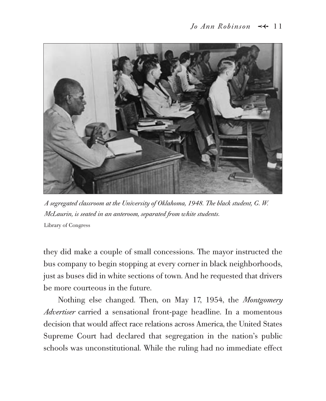

*A segregated classroom at the University of Oklahoma, 1948. The black student, G. W. McLaurin, is seated in an anteroom, separated from white students.* Library of Congress

they did make a couple of small concessions. The mayor instructed the bus company to begin stopping at every corner in black neighborhoods, just as buses did in white sections of town. And he requested that drivers be more courteous in the future.

Nothing else changed. Then, on May 17, 1954, the *Montgomery Advertiser* carried a sensational front-page headline. In a momentous decision that would affect race relations across America, the United States Supreme Court had declared that segregation in the nation's public schools was unconstitutional. While the ruling had no immediate effect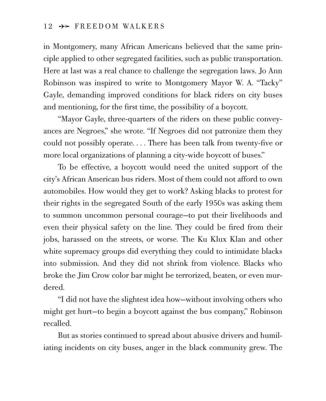## $12 \rightarrow$  FREEDOM WALKERS

in Montgomery, many African Americans believed that the same principle applied to other segregated facilities, such as public transportation. Here at last was a real chance to challenge the segregation laws. Jo Ann Robinson was inspired to write to Montgomery Mayor W. A. "Tacky" Gayle, demanding improved conditions for black riders on city buses and mentioning, for the first time, the possibility of a boycott.

"Mayor Gayle, three-quarters of the riders on these public conveyances are Negroes," she wrote. "If Negroes did not patronize them they could not possibly operate. . . . There has been talk from twenty-five or more local organizations of planning a city-wide boycott of buses."

To be effective, a boycott would need the united support of the city's African American bus riders. Most of them could not afford to own automobiles. How would they get to work? Asking blacks to protest for their rights in the segregated South of the early 1950s was asking them to summon uncommon personal courage—to put their livelihoods and even their physical safety on the line. They could be fired from their jobs, harassed on the streets, or worse. The Ku Klux Klan and other white supremacy groups did everything they could to intimidate blacks into submission. And they did not shrink from violence. Blacks who broke the Jim Crow color bar might be terrorized, beaten, or even murdered.

"I did not have the slightest idea how—without involving others who might get hurt—to begin a boycott against the bus company," Robinson recalled.

But as stories continued to spread about abusive drivers and humiliating incidents on city buses, anger in the black community grew. The